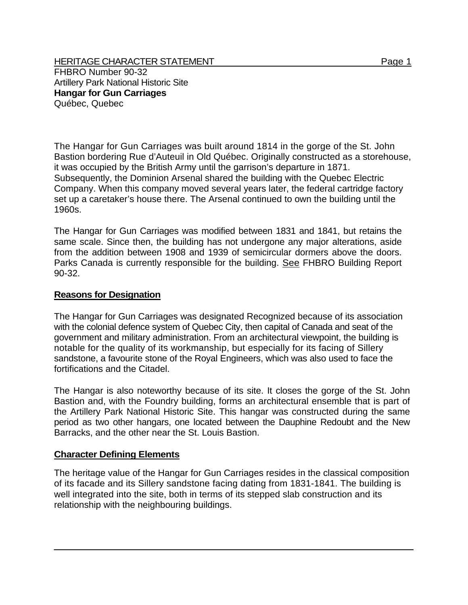HERITAGE CHARACTER STATEMENT FRIELD FOR A STATEMENT AND RAGE 1 FHBRO Number 90-32 Artillery Park National Historic Site **Hangar for Gun Carriages**  Québec, Quebec

The Hangar for Gun Carriages was built around 1814 in the gorge of the St. John Bastion bordering Rue d'Auteuil in Old Québec. Originally constructed as a storehouse, it was occupied by the British Army until the garrison's departure in 1871. Subsequently, the Dominion Arsenal shared the building with the Quebec Electric Company. When this company moved several years later, the federal cartridge factory set up a caretaker's house there. The Arsenal continued to own the building until the 1960s.

The Hangar for Gun Carriages was modified between 1831 and 1841, but retains the same scale. Since then, the building has not undergone any major alterations, aside from the addition between 1908 and 1939 of semicircular dormers above the doors. Parks Canada is currently responsible for the building. See FHBRO Building Report 90-32.

## **Reasons for Designation**

The Hangar for Gun Carriages was designated Recognized because of its association with the colonial defence system of Quebec City, then capital of Canada and seat of the government and military administration. From an architectural viewpoint, the building is notable for the quality of its workmanship, but especially for its facing of Sillery sandstone, a favourite stone of the Royal Engineers, which was also used to face the fortifications and the Citadel.

The Hangar is also noteworthy because of its site. It closes the gorge of the St. John Bastion and, with the Foundry building, forms an architectural ensemble that is part of the Artillery Park National Historic Site. This hangar was constructed during the same period as two other hangars, one located between the Dauphine Redoubt and the New Barracks, and the other near the St. Louis Bastion.

## **Character Defining Elements**

The heritage value of the Hangar for Gun Carriages resides in the classical composition of its facade and its Sillery sandstone facing dating from 1831-1841. The building is well integrated into the site, both in terms of its stepped slab construction and its relationship with the neighbouring buildings.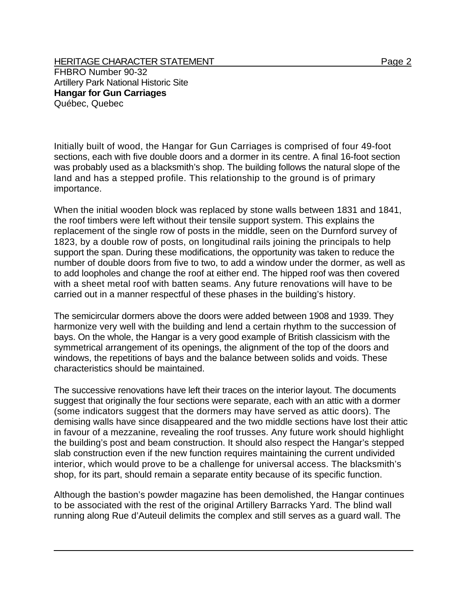HERITAGE CHARACTER STATEMENT FRIELD FOR A STATEMENT AND RAGE 2 FHBRO Number 90-32 Artillery Park National Historic Site **Hangar for Gun Carriages**  Québec, Quebec

Initially built of wood, the Hangar for Gun Carriages is comprised of four 49-foot sections, each with five double doors and a dormer in its centre. A final 16-foot section was probably used as a blacksmith's shop. The building follows the natural slope of the land and has a stepped profile. This relationship to the ground is of primary importance.

When the initial wooden block was replaced by stone walls between 1831 and 1841, the roof timbers were left without their tensile support system. This explains the replacement of the single row of posts in the middle, seen on the Durnford survey of 1823, by a double row of posts, on longitudinal rails joining the principals to help support the span. During these modifications, the opportunity was taken to reduce the number of double doors from five to two, to add a window under the dormer, as well as to add loopholes and change the roof at either end. The hipped roof was then covered with a sheet metal roof with batten seams. Any future renovations will have to be carried out in a manner respectful of these phases in the building's history.

The semicircular dormers above the doors were added between 1908 and 1939. They harmonize very well with the building and lend a certain rhythm to the succession of bays. On the whole, the Hangar is a very good example of British classicism with the symmetrical arrangement of its openings, the alignment of the top of the doors and windows, the repetitions of bays and the balance between solids and voids. These characteristics should be maintained.

The successive renovations have left their traces on the interior layout. The documents suggest that originally the four sections were separate, each with an attic with a dormer (some indicators suggest that the dormers may have served as attic doors). The demising walls have since disappeared and the two middle sections have lost their attic in favour of a mezzanine, revealing the roof trusses. Any future work should highlight the building's post and beam construction. It should also respect the Hangar's stepped slab construction even if the new function requires maintaining the current undivided interior, which would prove to be a challenge for universal access. The blacksmith's shop, for its part, should remain a separate entity because of its specific function.

Although the bastion's powder magazine has been demolished, the Hangar continues to be associated with the rest of the original Artillery Barracks Yard. The blind wall running along Rue d'Auteuil delimits the complex and still serves as a guard wall. The